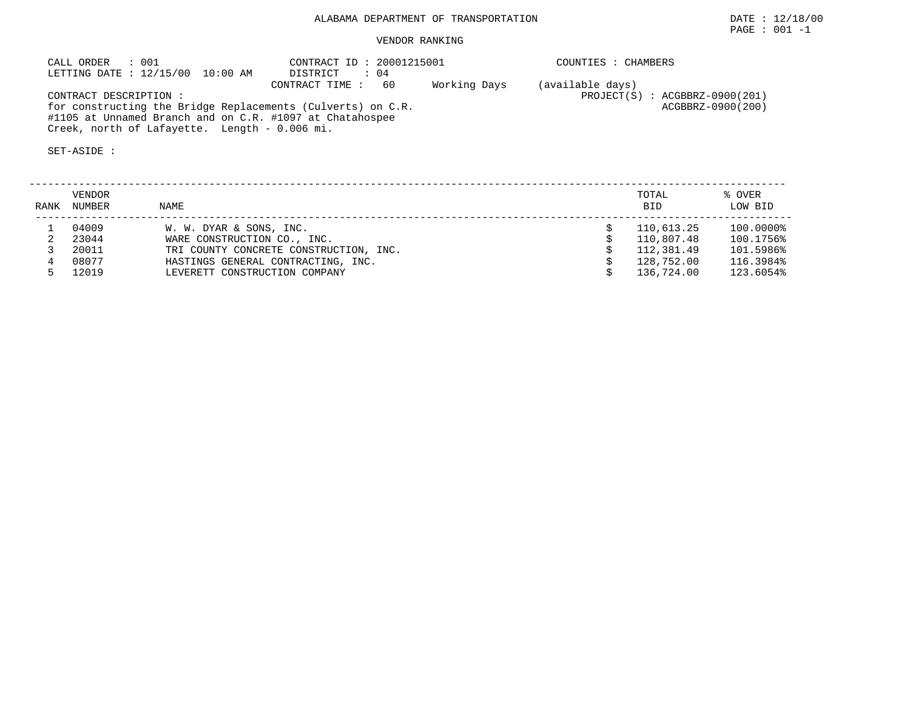# ALABAMA DEPARTMENT OF TRANSPORTATION **EXECUTE:** 12/18/00

# VENDOR RANKING

| CALL ORDER<br>: 001                                         | CONTRACT ID: 20001215001             | COUNTIES : CHAMBERS            |
|-------------------------------------------------------------|--------------------------------------|--------------------------------|
| LETTING DATE : 12/15/00 10:00 AM                            | DISTRICT<br>: 04                     |                                |
|                                                             | Working Days<br>CONTRACT TIME:<br>60 | (available days)               |
| CONTRACT DESCRIPTION :                                      |                                      | PROJECT(S) : ACGBBRZ-0900(201) |
| for constructing the Bridge Replacements (Culverts) on C.R. |                                      | ACGBBRZ-0900(200)              |
| #1105 at Unnamed Branch and on C.R. #1097 at Chatahospee    |                                      |                                |
| Creek, north of Lafayette. Length - 0.006 mi.               |                                      |                                |

SET-ASIDE :

| RANK | VENDOR<br>NUMBER | <b>NAME</b>                            | TOTAL<br><b>BID</b> | % OVER<br>LOW BID |
|------|------------------|----------------------------------------|---------------------|-------------------|
|      | 04009            | W. W. DYAR & SONS, INC.                | 110,613.25          | 100.0000%         |
|      | 23044            | WARE CONSTRUCTION CO., INC.            | 110,807.48          | 100.1756%         |
|      | 20011            | TRI COUNTY CONCRETE CONSTRUCTION, INC. | 112,381.49          | 101.5986%         |
|      | 08077            | HASTINGS GENERAL CONTRACTING, INC.     | 128,752.00          | 116.3984%         |
|      | 12019            | LEVERETT CONSTRUCTION COMPANY          | 136,724.00          | 123.6054%         |

 $\texttt{PAGE}$  : 001 -1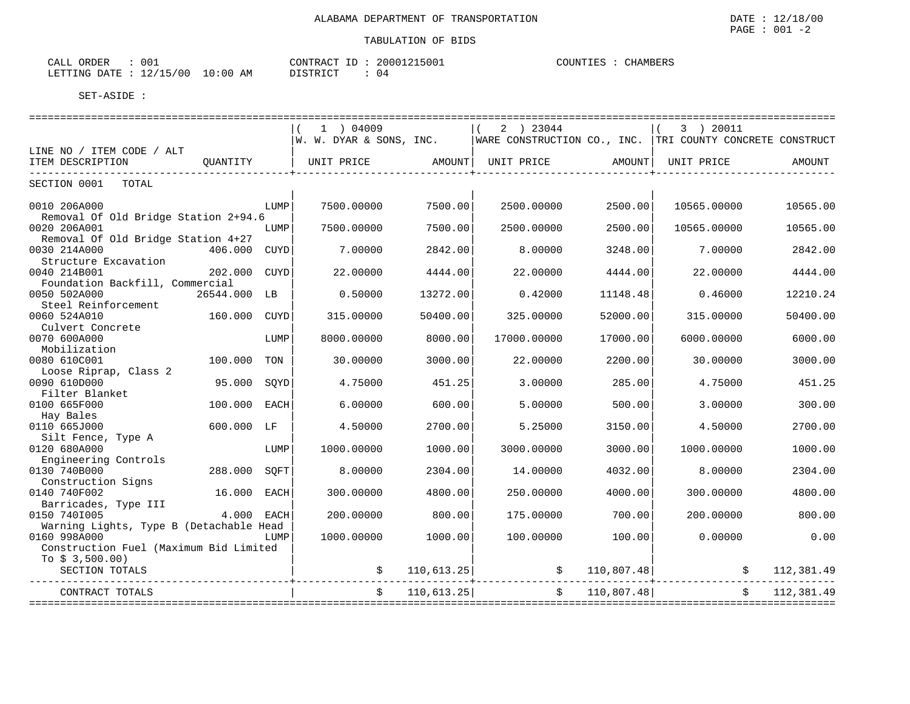| 001<br>ORDER<br>CALL    |            | CONTRACT ID | 20001215001 | COUNTIES | CHAMBERS |
|-------------------------|------------|-------------|-------------|----------|----------|
| LETTING DATE : 12/15/00 | $10:00$ AM | DISTRICT    | 04          |          |          |

| $1$ ) 04009<br>2 ) 23044<br>3 ) 20011                                                                                         |               |
|-------------------------------------------------------------------------------------------------------------------------------|---------------|
| WARE CONSTRUCTION CO., INC. TRI COUNTY CONCRETE CONSTRUCT<br>W. W. DYAR & SONS, INC.                                          |               |
| LINE NO / ITEM CODE / ALT                                                                                                     |               |
| ITEM DESCRIPTION<br>QUANTITY<br>UNIT PRICE<br>AMOUNT<br>UNIT PRICE<br>UNIT PRICE<br>AMOUNT                                    | <b>AMOUNT</b> |
|                                                                                                                               |               |
| SECTION 0001<br>TOTAL                                                                                                         |               |
|                                                                                                                               |               |
| 7500.00000<br>7500.00<br>2500.00000<br>2500.00<br>10565.00000<br>0010 206A000<br>LUMP<br>Removal Of Old Bridge Station 2+94.6 | 10565.00      |
| 0020 206A001<br>7500.00000<br>7500.00<br>2500.00000<br>2500.00<br>10565.00000<br>LUMP                                         | 10565.00      |
| Removal Of Old Bridge Station 4+27                                                                                            |               |
| 7.00000<br>0030 214A000<br>2842.00<br>8.00000<br>3248.00<br>7.00000<br>406.000<br><b>CUYD</b>                                 | 2842.00       |
| Structure Excavation                                                                                                          |               |
| 0040 214B001<br>202.000<br>CUYD<br>22.00000<br>4444.00<br>22.00000<br>4444.00<br>22.00000                                     | 4444.00       |
| Foundation Backfill, Commercial                                                                                               |               |
| 0050 502A000<br>26544.000 LB<br>0.50000<br>13272.00<br>0.42000<br>0.46000<br>11148.48                                         | 12210.24      |
| Steel Reinforcement                                                                                                           |               |
| 0060 524A010<br>160.000<br>315.00000<br>325.00000<br>315,00000<br>50400.00<br>52000.00<br>CUYD                                | 50400.00      |
| Culvert Concrete                                                                                                              |               |
| 0070 600A000<br>8000.00000<br>8000.00<br>17000.00000<br>17000.00<br>6000.00000<br>LUMP                                        | 6000.00       |
| Mobilization<br>0080 610C001<br>30.00000<br>2200.00<br>30.00000<br>100.000<br>TON<br>3000.00<br>22.00000                      | 3000.00       |
| Loose Riprap, Class 2                                                                                                         |               |
| 0090 610D000<br>95.000<br>4.75000<br>3.00000<br>285.00<br>4.75000<br>SOYD<br>451.25                                           | 451.25        |
| Filter Blanket                                                                                                                |               |
| 0100 665F000<br>100.000<br>6.00000<br>3.00000<br><b>EACH</b><br>600.00<br>5.00000<br>500.00                                   | 300.00        |
| Hay Bales                                                                                                                     |               |
| 0110 665J000<br>600.000 LF<br>4.50000<br>2700.00<br>5.25000<br>3150.00<br>4.50000                                             | 2700.00       |
| Silt Fence, Type A                                                                                                            |               |
| 0120 680A000<br>1000.00000<br>1000.00000<br>1000.00<br>3000.00000<br>3000.00<br>LUMP                                          | 1000.00       |
| Engineering Controls                                                                                                          |               |
| 0130 740B000<br>288.000<br>8.00000<br>14.00000<br>8.00000<br>SOFT<br>2304.00<br>4032.00                                       | 2304.00       |
| Construction Signs<br>0140 740F002<br>16.000<br>300.00000<br>250.00000<br>4000.00<br>300.00000                                | 4800.00       |
| <b>EACH</b><br>4800.00<br>Barricades, Type III                                                                                |               |
| 0150 7401005<br>$4.000$ EACH<br>200.00000<br>800.00<br>175,00000<br>700.00<br>200,00000                                       | 800.00        |
| Warning Lights, Type B (Detachable Head                                                                                       |               |
| 0160 998A000<br>1000.00000<br>1000.00<br>100.00000<br>100.00<br>0.00000<br>LUMP                                               | 0.00          |
| Construction Fuel (Maximum Bid Limited                                                                                        |               |
| To $$3,500.00)$                                                                                                               |               |
| 110,807.48<br>SECTION TOTALS<br>110,613.25                                                                                    | 112,381.49    |
|                                                                                                                               |               |
| 110,807.48<br>110,613.25<br>CONTRACT TOTALS                                                                                   | 112,381.49    |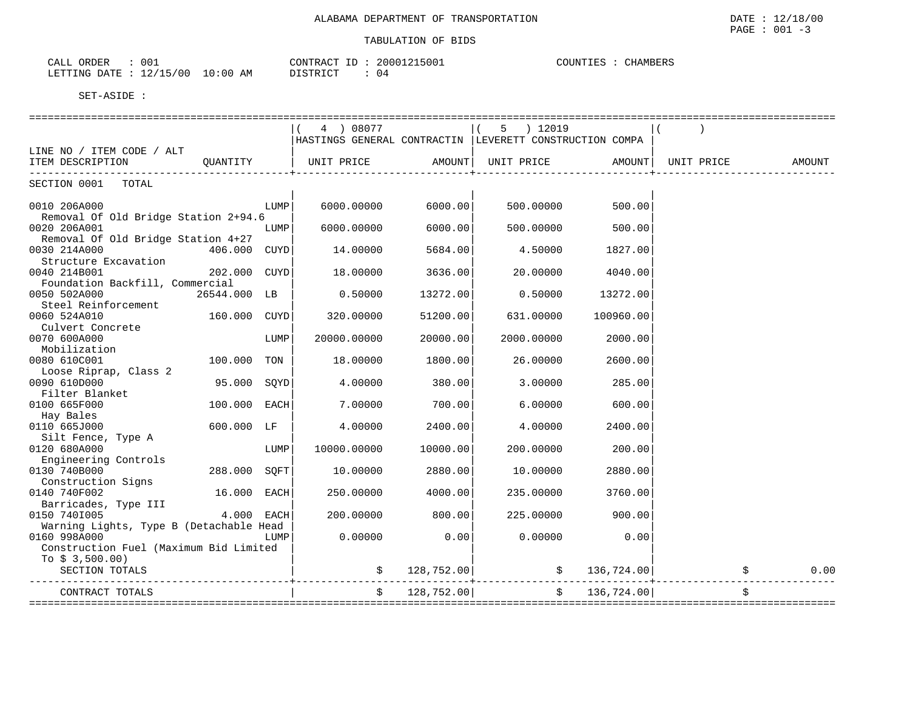| 001<br>ORDER<br>ו בשי                                                                                | 500<br>20007<br>∩NTR A | <b>COUNTIE</b> C<br>"HAMBERS<br><b>OTT:</b> |  |
|------------------------------------------------------------------------------------------------------|------------------------|---------------------------------------------|--|
| ່ດ:ດດ<br>$mm+17$<br>' 00<br><b>DATE</b><br>AΜ<br>∵ظب⊥<br>. .<br>$-1$ N ( $-$<br>$\sim$ $\sim$ $\sim$ | 04                     |                                             |  |

|                                         |              |      | 4 ) 08077                                                |            | 5 ) 12019                               |               |            |        |
|-----------------------------------------|--------------|------|----------------------------------------------------------|------------|-----------------------------------------|---------------|------------|--------|
|                                         |              |      | HASTINGS GENERAL CONTRACTIN  LEVERETT CONSTRUCTION COMPA |            |                                         |               |            |        |
| LINE NO / ITEM CODE / ALT               |              |      |                                                          |            |                                         |               |            |        |
| ITEM DESCRIPTION OUANTITY               |              |      | UNIT PRICE                                               |            | AMOUNT  UNIT PRICE                      | AMOUNT        | UNIT PRICE | AMOUNT |
| SECTION 0001 TOTAL                      |              |      |                                                          |            |                                         |               |            |        |
| 0010 206A000                            |              | LUMP | 6000.00000                                               | 6000.00    | 500.00000                               | 500.00        |            |        |
| Removal Of Old Bridge Station 2+94.6    |              |      |                                                          |            |                                         |               |            |        |
| 0020 206A001                            |              | LUMP | 6000.00000                                               | 6000.00    | 500.00000                               | 500.00        |            |        |
| Removal Of Old Bridge Station 4+27      |              |      |                                                          |            |                                         |               |            |        |
| 0030 214A000                            | 406.000 CUYD |      | 14.00000                                                 | 5684.00    | 4.50000                                 | 1827.00       |            |        |
| Structure Excavation                    |              |      |                                                          |            |                                         |               |            |        |
| 0040 214B001                            | 202.000 CUYD |      | 18.00000                                                 | 3636.00    | 20.00000                                | 4040.00       |            |        |
| Foundation Backfill, Commercial         |              |      |                                                          |            |                                         |               |            |        |
| 0050 502A000                            | 26544.000 LB |      | 0.50000                                                  | 13272.00   | 0.50000                                 | 13272.00      |            |        |
| Steel Reinforcement                     |              |      |                                                          |            |                                         |               |            |        |
| 0060 524A010                            | 160.000 CUYD |      | 320.00000                                                | 51200.00   | 631.00000                               | 100960.00     |            |        |
| Culvert Concrete                        |              |      |                                                          |            |                                         |               |            |        |
| 0070 600A000<br>Mobilization            |              | LUMP | 20000.00000                                              | 20000.00   | 2000.00000                              | 2000.00       |            |        |
| 0080 610C001                            | 100.000 TON  |      | 18.00000                                                 | 1800.00    | 26.00000                                | 2600.00       |            |        |
| Loose Riprap, Class 2                   |              |      |                                                          |            |                                         |               |            |        |
| 0090 610D000                            | 95.000 SOYD  |      | 4.00000                                                  | 380.00     | 3.00000                                 | 285.00        |            |        |
| Filter Blanket                          |              |      |                                                          |            |                                         |               |            |        |
| 0100 665F000                            | 100.000 EACH |      | 7.00000                                                  | 700.00     | 6.00000                                 | 600.00        |            |        |
| Hay Bales                               |              |      |                                                          |            |                                         |               |            |        |
| 0110 665J000                            | 600.000 LF   |      | 4.00000                                                  | 2400.00    | 4.00000                                 | 2400.00       |            |        |
| Silt Fence, Type A                      |              |      |                                                          |            |                                         |               |            |        |
| 0120 680A000                            |              | LUMP | 10000.00000                                              | 10000.00   | 200,00000                               | 200.00        |            |        |
| Engineering Controls                    |              |      |                                                          |            |                                         |               |            |        |
| 0130 740B000                            | 288.000 SOFT |      | 10.00000                                                 | 2880.00    | 10.00000                                | 2880.00       |            |        |
| Construction Signs                      |              |      |                                                          |            |                                         |               |            |        |
| 0140 740F002                            | 16.000 EACH  |      | 250.00000                                                | 4000.00    | 235.00000                               | 3760.00       |            |        |
| Barricades, Type III                    |              |      |                                                          |            |                                         |               |            |        |
| 0150 7401005                            | $4.000$ EACH |      | 200.00000                                                | 800.00     | 225,00000                               | 900.00        |            |        |
| Warning Lights, Type B (Detachable Head |              |      |                                                          |            |                                         |               |            |        |
| 0160 998A000                            |              | LUMP | 0.00000                                                  | 0.00       | 0.00000                                 | 0.00          |            |        |
| Construction Fuel (Maximum Bid Limited  |              |      |                                                          |            |                                         |               |            |        |
| To $$3,500.00)$                         |              |      |                                                          |            |                                         |               |            |        |
| SECTION TOTALS                          |              |      |                                                          |            | $\sharp$ 128,752.00 $\sharp$ 136,724.00 |               |            | 0.00   |
| CONTRACT TOTALS                         |              |      |                                                          | 128,752.00 |                                         | \$136,724.00] |            |        |
| ==============                          |              |      |                                                          |            | =========================               |               |            |        |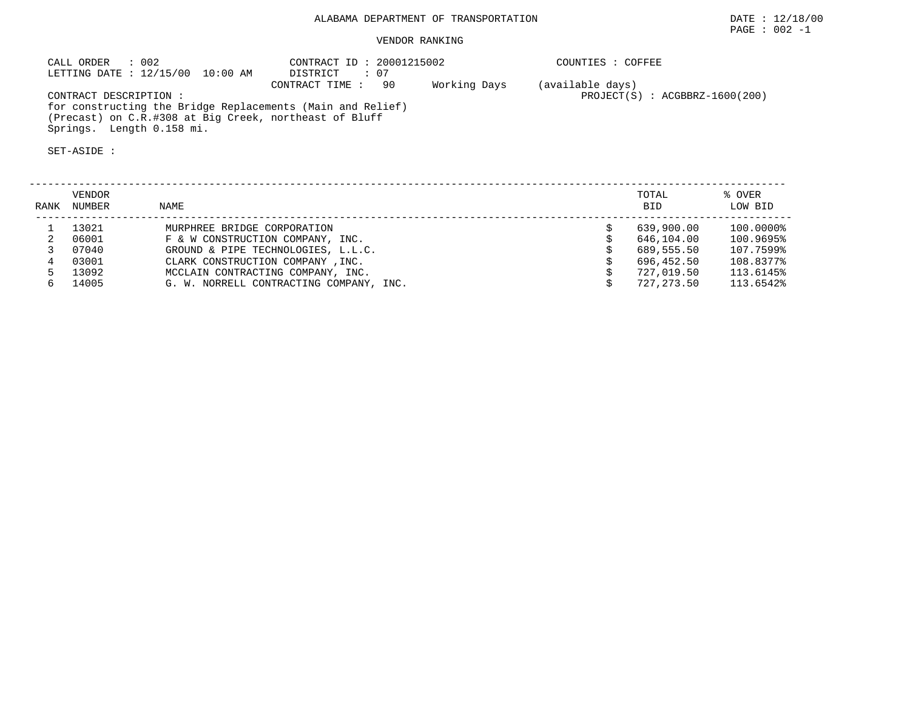# ALABAMA DEPARTMENT OF TRANSPORTATION DATE : 12/18/00

# VENDOR RANKING

CALL ORDER : 002 CONTRACT ID : 20001215002 COUNTIES : COFFEE LETTING DATE : 12/15/00 10:00 AM DISTRICT : 07 CONTRACT TIME : 90 Working Days (available days)<br>CONTRACT DESCRIPTION :  $\qquad \qquad$  $PROJECT(S) : ACGBBRZ-1600(200)$  for constructing the Bridge Replacements (Main and Relief) (Precast) on C.R.#308 at Big Creek, northeast of Bluff Springs. Length 0.158 mi.

SET-ASIDE :

| RANK | VENDOR<br>NUMBER | NAME                                    | TOTAL<br><b>BID</b> | % OVER<br>LOW BID |
|------|------------------|-----------------------------------------|---------------------|-------------------|
|      | 13021            | MURPHREE BRIDGE CORPORATION             | 639,900.00          | 100.0000%         |
|      | 06001            | F & W CONSTRUCTION COMPANY, INC.        | 646,104.00          | 100.9695%         |
|      | 07040            | GROUND & PIPE TECHNOLOGIES, L.L.C.      | 689,555.50          | 107.7599%         |
|      | 03001            | CLARK CONSTRUCTION COMPANY, INC.        | 696,452.50          | 108.8377%         |
|      | 13092            | MCCLAIN CONTRACTING COMPANY, INC.       | 727,019.50          | 113.6145%         |
|      | 14005            | G. W. NORRELL CONTRACTING COMPANY, INC. | 727, 273, 50        | 113.6542%         |

PAGE : 002 -1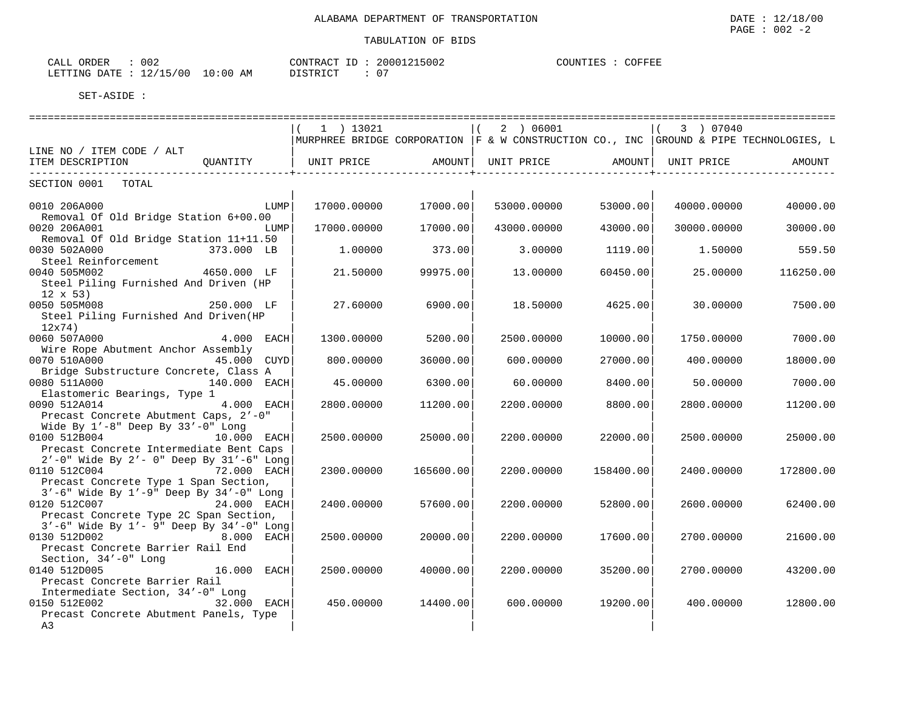| ORDER<br>CALL                    | 002 | CONTRACT ID: | 20001215002        | COUNTIES | COFFEE |
|----------------------------------|-----|--------------|--------------------|----------|--------|
| LETTING DATE : 12/15/00 10:00 AM |     | DISTRICT     | $\cap$<br><b>U</b> |          |        |

|                                                                                                                                              | 1 ) 13021   |           | 2 ) 06001                                                                                 |           | 3 ) 07040   |           |
|----------------------------------------------------------------------------------------------------------------------------------------------|-------------|-----------|-------------------------------------------------------------------------------------------|-----------|-------------|-----------|
|                                                                                                                                              |             |           | MURPHREE BRIDGE CORPORATION $ F \& W$ CONSTRUCTION CO., INC GROUND & PIPE TECHNOLOGIES, L |           |             |           |
| LINE NO / ITEM CODE / ALT<br>ITEM DESCRIPTION<br>OUANTITY                                                                                    | UNIT PRICE  | AMOUNT    | UNIT PRICE                                                                                | AMOUNT    | UNIT PRICE  | AMOUNT    |
|                                                                                                                                              |             |           |                                                                                           |           |             |           |
| SECTION 0001<br>TOTAL                                                                                                                        |             |           |                                                                                           |           |             |           |
| 0010 206A000<br>LUMP<br>Removal Of Old Bridge Station 6+00.00                                                                                | 17000.00000 | 17000.00  | 53000.00000                                                                               | 53000.00  | 40000.00000 | 40000.00  |
| 0020 206A001<br>LUMP<br>Removal Of Old Bridge Station 11+11.50                                                                               | 17000.00000 | 17000.00  | 43000.00000                                                                               | 43000.00  | 30000.00000 | 30000.00  |
| 0030 502A000<br>373.000 LB<br>Steel Reinforcement                                                                                            | 1,00000     | 373.00    | 3.00000                                                                                   | 1119.00   | 1.50000     | 559.50    |
| 0040 505M002<br>4650.000 LF<br>Steel Piling Furnished And Driven (HP<br>$12 \times 53$                                                       | 21.50000    | 99975.00  | 13,00000                                                                                  | 60450.00  | 25,00000    | 116250.00 |
| 0050 505M008<br>250.000 LF<br>Steel Piling Furnished And Driven(HP<br>12x74)                                                                 | 27.60000    | 6900.00   | 18.50000                                                                                  | 4625.00   | 30.00000    | 7500.00   |
| 0060 507A000<br>$4.000$ EACH<br>Wire Rope Abutment Anchor Assembly                                                                           | 1300.00000  | 5200.00   | 2500.00000                                                                                | 10000.00  | 1750.00000  | 7000.00   |
| 0070 510A000<br>45.000 CUYD<br>Bridge Substructure Concrete, Class A                                                                         | 800.00000   | 36000.00  | 600.00000                                                                                 | 27000.00  | 400.00000   | 18000.00  |
| 0080 511A000<br>140.000 EACH<br>Elastomeric Bearings, Type 1                                                                                 | 45.00000    | 6300.00   | 60.00000                                                                                  | 8400.00   | 50.00000    | 7000.00   |
| 0090 512A014<br>4.000 EACH<br>Precast Concrete Abutment Caps, 2'-0"<br>Wide By $1'-8$ " Deep By $33'-0$ " Long                               | 2800.00000  | 11200.00  | 2200.00000                                                                                | 8800.00   | 2800.00000  | 11200.00  |
| 0100 512B004<br>10.000 EACH<br>Precast Concrete Intermediate Bent Caps<br>$2'$ -0" Wide By $2'$ - 0" Deep By $31'$ -6" Long                  | 2500.00000  | 25000.00  | 2200.00000                                                                                | 22000.00  | 2500.00000  | 25000.00  |
| 72.000 EACH<br>0110 512C004<br>Precast Concrete Type 1 Span Section,                                                                         | 2300.00000  | 165600.00 | 2200.00000                                                                                | 158400.00 | 2400.00000  | 172800.00 |
| 3'-6" Wide By 1'-9" Deep By 34'-0" Long<br>0120 512C007<br>24.000 EACH<br>Precast Concrete Type 2C Span Section,                             | 2400.00000  | 57600.00  | 2200.00000                                                                                | 52800.00  | 2600.00000  | 62400.00  |
| $3'$ -6" Wide By $1'$ - 9" Deep By $34'$ -0" Long<br>0130 512D002<br>8.000 EACH<br>Precast Concrete Barrier Rail End<br>Section, 34'-0" Long | 2500.00000  | 20000.00  | 2200.00000                                                                                | 17600.00  | 2700.00000  | 21600.00  |
| 0140 512D005<br>16.000<br>EACH<br>Precast Concrete Barrier Rail<br>Intermediate Section, 34'-0" Long                                         | 2500.00000  | 40000.00  | 2200.00000                                                                                | 35200.00  | 2700.00000  | 43200.00  |
| 0150 512E002<br>32.000 EACH<br>Precast Concrete Abutment Panels, Type<br>A3                                                                  | 450.00000   | 14400.00  | 600,00000                                                                                 | 19200.00  | 400.00000   | 12800.00  |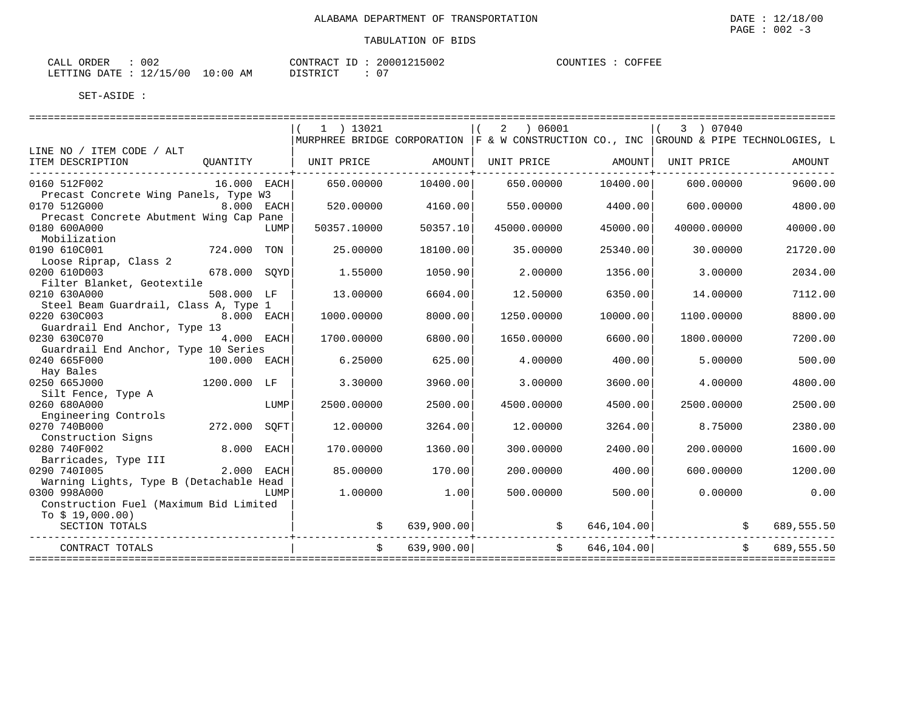| 002<br>CALL ORDER               |          | CONTRACT ID: 20001215002 | COUNTIES : COFFEE |
|---------------------------------|----------|--------------------------|-------------------|
| LETTING DATE: 12/15/00 10:00 AM | DISTRICT |                          |                   |

|                                                                         |               |      | $1$ ) 13021 |            | 06001<br>2<br>  MURPHREE BRIDGE CORPORATION  F & W CONSTRUCTION CO., INC   GROUND & PIPE TECHNOLOGIES, L |                | 3 ) 07040   |                  |
|-------------------------------------------------------------------------|---------------|------|-------------|------------|----------------------------------------------------------------------------------------------------------|----------------|-------------|------------------|
| LINE NO / ITEM CODE / ALT                                               |               |      |             |            |                                                                                                          |                |             |                  |
| ITEM DESCRIPTION                                                        | OUANTITY      |      | UNIT PRICE  | amount I   | UNIT PRICE                                                                                               | AMOUNT         | UNIT PRICE  | AMOUNT           |
| 0160 512F002<br>Precast Concrete Wing Panels, Type W3                   | $16.000$ EACH |      | 650.00000   | 10400.00   | 650.00000                                                                                                | 10400.00       | 600.00000   | 9600.00          |
| 0170 512G000                                                            | $8.000$ EACH  |      | 520.00000   | 4160.00    | 550.00000                                                                                                | 4400.00        | 600.00000   | 4800.00          |
| Precast Concrete Abutment Wing Cap Pane<br>0180 600A000<br>Mobilization |               | LUMP | 50357.10000 | 50357.10   | 45000.00000                                                                                              | 45000.00       | 40000.00000 | 40000.00         |
| 0190 610C001<br>Loose Riprap, Class 2                                   | 724.000 TON   |      | 25,00000    | 18100.00   | 35.00000                                                                                                 | 25340.00       | 30,00000    | 21720.00         |
| 0200 610D003<br>Filter Blanket, Geotextile                              | 678.000 SOYD  |      | 1.55000     | 1050.90    | 2.00000                                                                                                  | 1356.00        | 3.00000     | 2034.00          |
| 0210 630A000<br>Steel Beam Guardrail, Class A, Type 1                   | 508.000 LF    |      | 13.00000    | 6604.00    | 12.50000                                                                                                 | 6350.00        | 14.00000    | 7112.00          |
| 0220 630C003<br>Guardrail End Anchor, Type 13                           | 8.000 EACH    |      | 1000.00000  | 8000.00    | 1250.00000                                                                                               | 10000.00       | 1100.00000  | 8800.00          |
| 0230 630C070<br>Guardrail End Anchor, Type 10 Series                    | 4.000 EACH    |      | 1700.00000  | 6800.00    | 1650.00000                                                                                               | 6600.00        | 1800.00000  | 7200.00          |
| 0240 665F000<br>Hay Bales                                               | 100.000 EACH  |      | 6.25000     | 625.00     | 4.00000                                                                                                  | 400.00         | 5,00000     | 500.00           |
| 0250 665J000<br>Silt Fence, Type A                                      | 1200.000 LF   |      | 3.30000     | 3960.00    | 3.00000                                                                                                  | 3600.00        | 4.00000     | 4800.00          |
| 0260 680A000<br>Engineering Controls                                    |               | LUMP | 2500.00000  | 2500.00    | 4500.00000                                                                                               | 4500.00        | 2500.00000  | 2500.00          |
| 0270 740B000<br>Construction Signs                                      | 272.000       | SOFT | 12.00000    | 3264.00    | 12.00000                                                                                                 | 3264.00        | 8.75000     | 2380.00          |
| 0280 740F002<br>Barricades, Type III                                    | 8.000 EACH    |      | 170.00000   | 1360.00    | 300,00000                                                                                                | 2400.00        | 200.00000   | 1600.00          |
| 0290 7401005<br>Warning Lights, Type B (Detachable Head                 | 2.000 EACH    |      | 85.00000    | 170.00     | 200.00000                                                                                                | 400.00         | 600,00000   | 1200.00          |
| 0300 998A000<br>Construction Fuel (Maximum Bid Limited                  |               | LUMP | 1,00000     | 1.00       | 500.00000                                                                                                | 500.00         | 0.00000     | 0.00             |
| To $$19,000.00)$<br>SECTION TOTALS                                      |               |      |             | 639,900.00 | $\ddot{\mathbf{S}}$                                                                                      | 646,104.00     |             | 689,555.50<br>\$ |
| CONTRACT TOTALS                                                         |               |      |             | 639,900.00 |                                                                                                          | \$646, 104.00] |             | 689,555.50<br>\$ |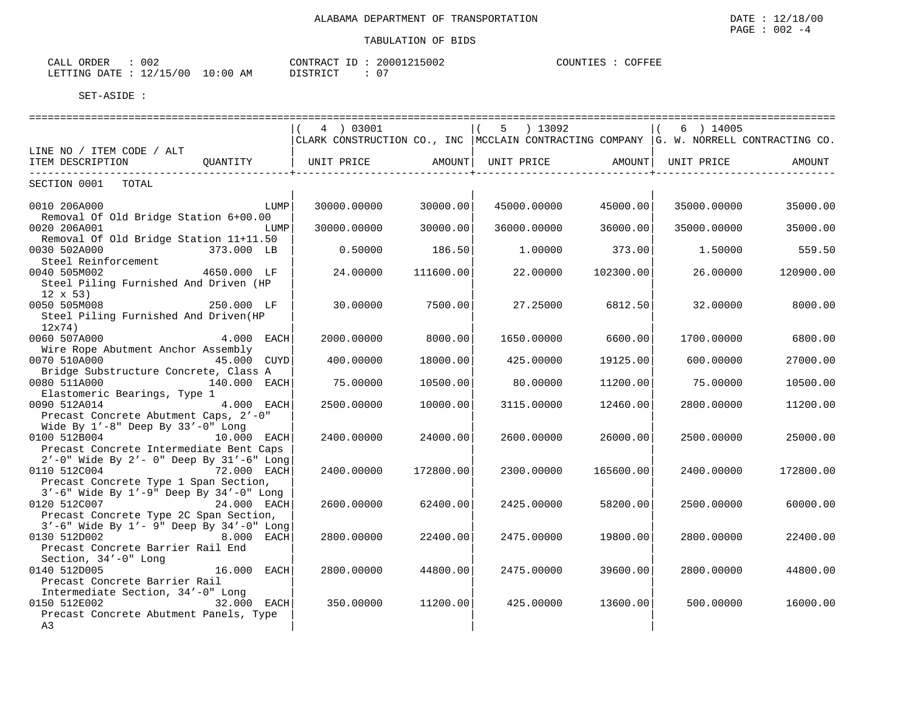| ORDER<br>CALL                    | 002 | CONTRACT ID: | 20001215002 | COUNTIES : | COFFEE |
|----------------------------------|-----|--------------|-------------|------------|--------|
| LETTING DATE : 12/15/00 10:00 AM |     | DISTRICT     | 07          |            |        |

|                                                                                                                                     | 4 ) 03001         |           | $5$ ) 13092       |           | 6 ) 14005   |                                                                                          |
|-------------------------------------------------------------------------------------------------------------------------------------|-------------------|-----------|-------------------|-----------|-------------|------------------------------------------------------------------------------------------|
|                                                                                                                                     |                   |           |                   |           |             | CLARK CONSTRUCTION CO., INC   MCCLAIN CONTRACTING COMPANY  G. W. NORRELL CONTRACTING CO. |
| LINE NO / ITEM CODE / ALT<br>ITEM DESCRIPTION<br>OUANTITY                                                                           | UNIT PRICE AMOUNT |           | UNIT PRICE AMOUNT |           | UNIT PRICE  | AMOUNT                                                                                   |
|                                                                                                                                     |                   |           |                   |           |             |                                                                                          |
| SECTION 0001<br>TOTAL                                                                                                               |                   |           |                   |           |             |                                                                                          |
| 0010 206A000<br>LUMP<br>Removal Of Old Bridge Station 6+00.00                                                                       | 30000.00000       | 30000.00  | 45000.00000       | 45000.00  | 35000.00000 | 35000.00                                                                                 |
| 0020 206A001<br>LUMP<br>Removal Of Old Bridge Station 11+11.50                                                                      | 30000.00000       | 30000.00  | 36000.00000       | 36000.00  | 35000.00000 | 35000.00                                                                                 |
| 0030 502A000<br>373.000 LB<br>Steel Reinforcement                                                                                   | 0.50000           | 186.50    | 1,00000           | 373.00    | 1.50000     | 559.50                                                                                   |
| 0040 505M002<br>4650.000 LF<br>Steel Piling Furnished And Driven (HP<br>$12 \times 53$                                              | 24.00000          | 111600.00 | 22,00000          | 102300.00 | 26,00000    | 120900.00                                                                                |
| 0050 505M008<br>250.000 LF<br>Steel Piling Furnished And Driven(HP<br>12x74)                                                        | 30.00000          | 7500.00   | 27.25000          | 6812.50   | 32.00000    | 8000.00                                                                                  |
| 0060 507A000<br>$4.000$ EACH<br>Wire Rope Abutment Anchor Assembly                                                                  | 2000.00000        | 8000.00   | 1650.00000        | 6600.00   | 1700.00000  | 6800.00                                                                                  |
| 0070 510A000<br>45.000 CUYD<br>Bridge Substructure Concrete, Class A                                                                | 400.00000         | 18000.00  | 425.00000         | 19125.00  | 600.00000   | 27000.00                                                                                 |
| 0080 511A000<br>140.000 EACH<br>Elastomeric Bearings, Type 1                                                                        | 75.00000          | 10500.00  | 80.00000          | 11200.00  | 75.00000    | 10500.00                                                                                 |
| 0090 512A014<br>4.000 EACH<br>Precast Concrete Abutment Caps, 2'-0"<br>Wide By $1'-8$ " Deep By $33'-0$ " Long                      | 2500.00000        | 10000.00  | 3115.00000        | 12460.00  | 2800.00000  | 11200.00                                                                                 |
| 0100 512B004<br>10.000 EACH<br>Precast Concrete Intermediate Bent Caps<br>$2'$ -0" Wide By $2'$ - 0" Deep By $31'$ -6" Long         | 2400.00000        | 24000.00  | 2600.00000        | 26000.00  | 2500.00000  | 25000.00                                                                                 |
| 72.000 EACH<br>0110 512C004<br>Precast Concrete Type 1 Span Section,                                                                | 2400.00000        | 172800.00 | 2300.00000        | 165600.00 | 2400.00000  | 172800.00                                                                                |
| $3'-6$ " Wide By $1'-9$ " Deep By $34'-0$ " Long<br>0120 512C007<br>24.000 EACH<br>Precast Concrete Type 2C Span Section,           | 2600.00000        | 62400.00  | 2425.00000        | 58200.00  | 2500.00000  | 60000.00                                                                                 |
| 3'-6" Wide By 1'- 9" Deep By 34'-0" Long<br>0130 512D002<br>8.000 EACH<br>Precast Concrete Barrier Rail End<br>Section, 34'-0" Long | 2800.00000        | 22400.00  | 2475.00000        | 19800.00  | 2800.00000  | 22400.00                                                                                 |
| 0140 512D005<br>16.000<br>EACH<br>Precast Concrete Barrier Rail<br>Intermediate Section, 34'-0" Long                                | 2800.00000        | 44800.00  | 2475.00000        | 39600.00  | 2800.00000  | 44800.00                                                                                 |
| 0150 512E002<br>32.000 EACH<br>Precast Concrete Abutment Panels, Type<br>A3                                                         | 350.00000         | 11200.00  | 425.00000         | 13600.00  | 500.00000   | 16000.00                                                                                 |